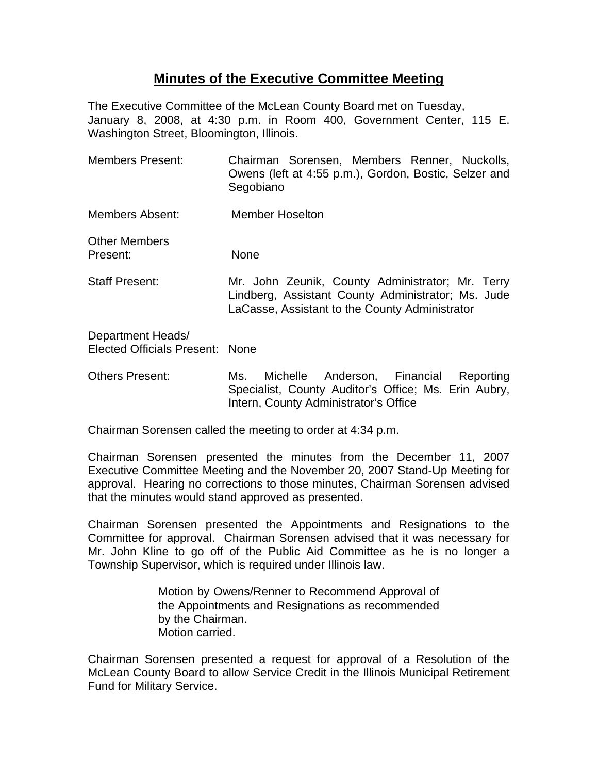## **Minutes of the Executive Committee Meeting**

The Executive Committee of the McLean County Board met on Tuesday, January 8, 2008, at 4:30 p.m. in Room 400, Government Center, 115 E. Washington Street, Bloomington, Illinois.

- Members Present: Chairman Sorensen, Members Renner, Nuckolls, Owens (left at 4:55 p.m.), Gordon, Bostic, Selzer and Segobiano Members Absent: Member Hoselton Other Members Present: None Staff Present: Mr. John Zeunik, County Administrator; Mr. Terry Lindberg, Assistant County Administrator; Ms. Jude LaCasse, Assistant to the County Administrator Department Heads/ Elected Officials Present: None
- Others Present: Ms. Michelle Anderson, Financial Reporting Specialist, County Auditor's Office; Ms. Erin Aubry, Intern, County Administrator's Office

Chairman Sorensen called the meeting to order at 4:34 p.m.

Chairman Sorensen presented the minutes from the December 11, 2007 Executive Committee Meeting and the November 20, 2007 Stand-Up Meeting for approval. Hearing no corrections to those minutes, Chairman Sorensen advised that the minutes would stand approved as presented.

Chairman Sorensen presented the Appointments and Resignations to the Committee for approval. Chairman Sorensen advised that it was necessary for Mr. John Kline to go off of the Public Aid Committee as he is no longer a Township Supervisor, which is required under Illinois law.

> Motion by Owens/Renner to Recommend Approval of the Appointments and Resignations as recommended by the Chairman. Motion carried.

Chairman Sorensen presented a request for approval of a Resolution of the McLean County Board to allow Service Credit in the Illinois Municipal Retirement Fund for Military Service.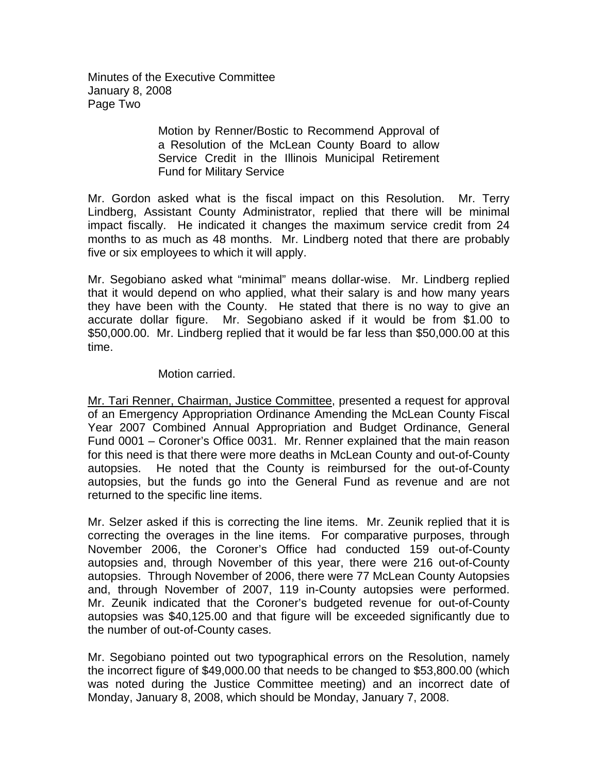Minutes of the Executive Committee January 8, 2008 Page Two

> Motion by Renner/Bostic to Recommend Approval of a Resolution of the McLean County Board to allow Service Credit in the Illinois Municipal Retirement Fund for Military Service

Mr. Gordon asked what is the fiscal impact on this Resolution. Mr. Terry Lindberg, Assistant County Administrator, replied that there will be minimal impact fiscally. He indicated it changes the maximum service credit from 24 months to as much as 48 months. Mr. Lindberg noted that there are probably five or six employees to which it will apply.

Mr. Segobiano asked what "minimal" means dollar-wise. Mr. Lindberg replied that it would depend on who applied, what their salary is and how many years they have been with the County. He stated that there is no way to give an accurate dollar figure. Mr. Segobiano asked if it would be from \$1.00 to \$50,000.00. Mr. Lindberg replied that it would be far less than \$50,000.00 at this time.

## Motion carried.

Mr. Tari Renner, Chairman, Justice Committee, presented a request for approval of an Emergency Appropriation Ordinance Amending the McLean County Fiscal Year 2007 Combined Annual Appropriation and Budget Ordinance, General Fund 0001 – Coroner's Office 0031. Mr. Renner explained that the main reason for this need is that there were more deaths in McLean County and out-of-County autopsies. He noted that the County is reimbursed for the out-of-County autopsies, but the funds go into the General Fund as revenue and are not returned to the specific line items.

Mr. Selzer asked if this is correcting the line items. Mr. Zeunik replied that it is correcting the overages in the line items. For comparative purposes, through November 2006, the Coroner's Office had conducted 159 out-of-County autopsies and, through November of this year, there were 216 out-of-County autopsies. Through November of 2006, there were 77 McLean County Autopsies and, through November of 2007, 119 in-County autopsies were performed. Mr. Zeunik indicated that the Coroner's budgeted revenue for out-of-County autopsies was \$40,125.00 and that figure will be exceeded significantly due to the number of out-of-County cases.

Mr. Segobiano pointed out two typographical errors on the Resolution, namely the incorrect figure of \$49,000.00 that needs to be changed to \$53,800.00 (which was noted during the Justice Committee meeting) and an incorrect date of Monday, January 8, 2008, which should be Monday, January 7, 2008.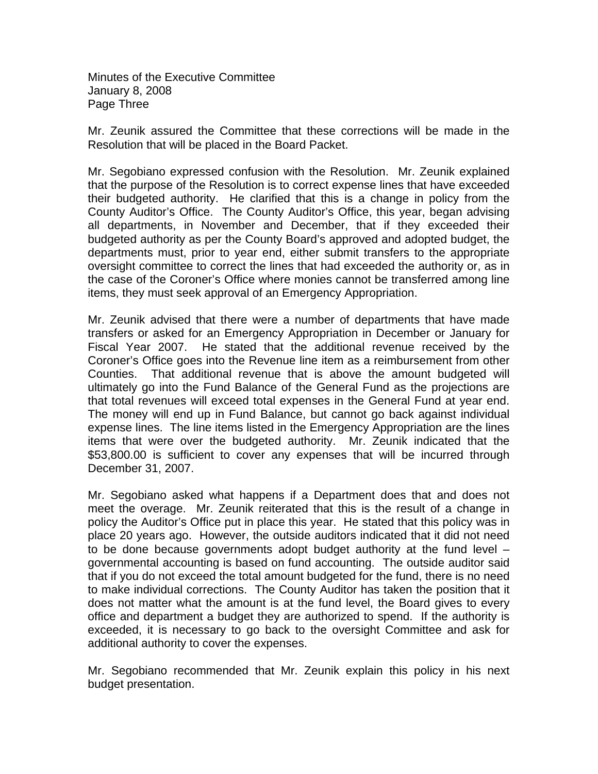Minutes of the Executive Committee January 8, 2008 Page Three

Mr. Zeunik assured the Committee that these corrections will be made in the Resolution that will be placed in the Board Packet.

Mr. Segobiano expressed confusion with the Resolution. Mr. Zeunik explained that the purpose of the Resolution is to correct expense lines that have exceeded their budgeted authority. He clarified that this is a change in policy from the County Auditor's Office. The County Auditor's Office, this year, began advising all departments, in November and December, that if they exceeded their budgeted authority as per the County Board's approved and adopted budget, the departments must, prior to year end, either submit transfers to the appropriate oversight committee to correct the lines that had exceeded the authority or, as in the case of the Coroner's Office where monies cannot be transferred among line items, they must seek approval of an Emergency Appropriation.

Mr. Zeunik advised that there were a number of departments that have made transfers or asked for an Emergency Appropriation in December or January for Fiscal Year 2007. He stated that the additional revenue received by the Coroner's Office goes into the Revenue line item as a reimbursement from other Counties. That additional revenue that is above the amount budgeted will ultimately go into the Fund Balance of the General Fund as the projections are that total revenues will exceed total expenses in the General Fund at year end. The money will end up in Fund Balance, but cannot go back against individual expense lines. The line items listed in the Emergency Appropriation are the lines items that were over the budgeted authority. Mr. Zeunik indicated that the \$53,800.00 is sufficient to cover any expenses that will be incurred through December 31, 2007.

Mr. Segobiano asked what happens if a Department does that and does not meet the overage. Mr. Zeunik reiterated that this is the result of a change in policy the Auditor's Office put in place this year. He stated that this policy was in place 20 years ago. However, the outside auditors indicated that it did not need to be done because governments adopt budget authority at the fund level – governmental accounting is based on fund accounting. The outside auditor said that if you do not exceed the total amount budgeted for the fund, there is no need to make individual corrections. The County Auditor has taken the position that it does not matter what the amount is at the fund level, the Board gives to every office and department a budget they are authorized to spend. If the authority is exceeded, it is necessary to go back to the oversight Committee and ask for additional authority to cover the expenses.

Mr. Segobiano recommended that Mr. Zeunik explain this policy in his next budget presentation.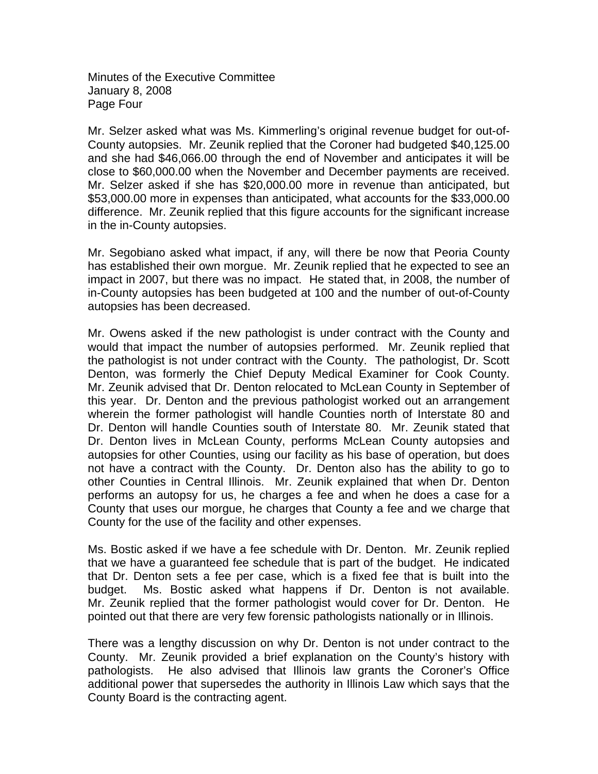Minutes of the Executive Committee January 8, 2008 Page Four

Mr. Selzer asked what was Ms. Kimmerling's original revenue budget for out-of-County autopsies. Mr. Zeunik replied that the Coroner had budgeted \$40,125.00 and she had \$46,066.00 through the end of November and anticipates it will be close to \$60,000.00 when the November and December payments are received. Mr. Selzer asked if she has \$20,000.00 more in revenue than anticipated, but \$53,000.00 more in expenses than anticipated, what accounts for the \$33,000.00 difference. Mr. Zeunik replied that this figure accounts for the significant increase in the in-County autopsies.

Mr. Segobiano asked what impact, if any, will there be now that Peoria County has established their own morgue. Mr. Zeunik replied that he expected to see an impact in 2007, but there was no impact. He stated that, in 2008, the number of in-County autopsies has been budgeted at 100 and the number of out-of-County autopsies has been decreased.

Mr. Owens asked if the new pathologist is under contract with the County and would that impact the number of autopsies performed. Mr. Zeunik replied that the pathologist is not under contract with the County. The pathologist, Dr. Scott Denton, was formerly the Chief Deputy Medical Examiner for Cook County. Mr. Zeunik advised that Dr. Denton relocated to McLean County in September of this year. Dr. Denton and the previous pathologist worked out an arrangement wherein the former pathologist will handle Counties north of Interstate 80 and Dr. Denton will handle Counties south of Interstate 80. Mr. Zeunik stated that Dr. Denton lives in McLean County, performs McLean County autopsies and autopsies for other Counties, using our facility as his base of operation, but does not have a contract with the County. Dr. Denton also has the ability to go to other Counties in Central Illinois. Mr. Zeunik explained that when Dr. Denton performs an autopsy for us, he charges a fee and when he does a case for a County that uses our morgue, he charges that County a fee and we charge that County for the use of the facility and other expenses.

Ms. Bostic asked if we have a fee schedule with Dr. Denton. Mr. Zeunik replied that we have a guaranteed fee schedule that is part of the budget. He indicated that Dr. Denton sets a fee per case, which is a fixed fee that is built into the budget. Ms. Bostic asked what happens if Dr. Denton is not available. Mr. Zeunik replied that the former pathologist would cover for Dr. Denton. He pointed out that there are very few forensic pathologists nationally or in Illinois.

There was a lengthy discussion on why Dr. Denton is not under contract to the County. Mr. Zeunik provided a brief explanation on the County's history with pathologists. He also advised that Illinois law grants the Coroner's Office additional power that supersedes the authority in Illinois Law which says that the County Board is the contracting agent.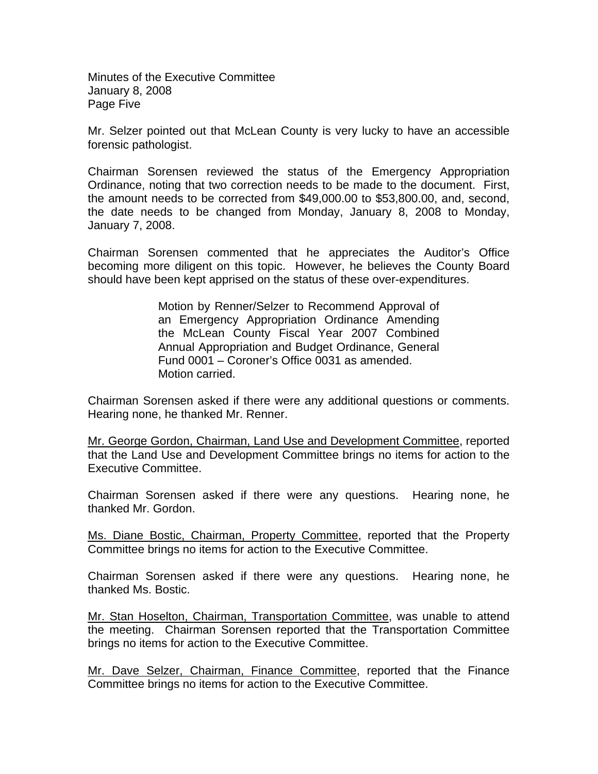Minutes of the Executive Committee January 8, 2008 Page Five

Mr. Selzer pointed out that McLean County is very lucky to have an accessible forensic pathologist.

Chairman Sorensen reviewed the status of the Emergency Appropriation Ordinance, noting that two correction needs to be made to the document. First, the amount needs to be corrected from \$49,000.00 to \$53,800.00, and, second, the date needs to be changed from Monday, January 8, 2008 to Monday, January 7, 2008.

Chairman Sorensen commented that he appreciates the Auditor's Office becoming more diligent on this topic. However, he believes the County Board should have been kept apprised on the status of these over-expenditures.

> Motion by Renner/Selzer to Recommend Approval of an Emergency Appropriation Ordinance Amending the McLean County Fiscal Year 2007 Combined Annual Appropriation and Budget Ordinance, General Fund 0001 – Coroner's Office 0031 as amended. Motion carried.

Chairman Sorensen asked if there were any additional questions or comments. Hearing none, he thanked Mr. Renner.

Mr. George Gordon, Chairman, Land Use and Development Committee, reported that the Land Use and Development Committee brings no items for action to the Executive Committee.

Chairman Sorensen asked if there were any questions. Hearing none, he thanked Mr. Gordon.

Ms. Diane Bostic, Chairman, Property Committee, reported that the Property Committee brings no items for action to the Executive Committee.

Chairman Sorensen asked if there were any questions. Hearing none, he thanked Ms. Bostic.

Mr. Stan Hoselton, Chairman, Transportation Committee, was unable to attend the meeting. Chairman Sorensen reported that the Transportation Committee brings no items for action to the Executive Committee.

Mr. Dave Selzer, Chairman, Finance Committee, reported that the Finance Committee brings no items for action to the Executive Committee.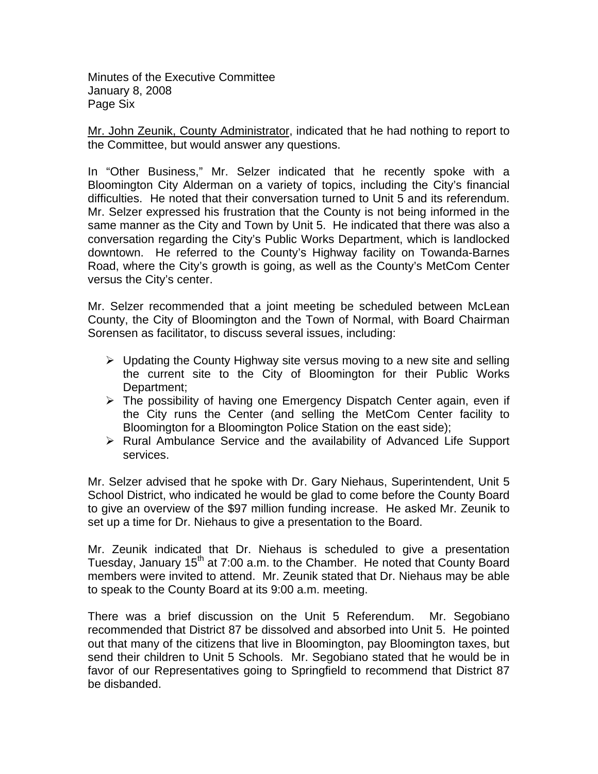Minutes of the Executive Committee January 8, 2008 Page Six

Mr. John Zeunik, County Administrator, indicated that he had nothing to report to the Committee, but would answer any questions.

In "Other Business," Mr. Selzer indicated that he recently spoke with a Bloomington City Alderman on a variety of topics, including the City's financial difficulties. He noted that their conversation turned to Unit 5 and its referendum. Mr. Selzer expressed his frustration that the County is not being informed in the same manner as the City and Town by Unit 5. He indicated that there was also a conversation regarding the City's Public Works Department, which is landlocked downtown. He referred to the County's Highway facility on Towanda-Barnes Road, where the City's growth is going, as well as the County's MetCom Center versus the City's center.

Mr. Selzer recommended that a joint meeting be scheduled between McLean County, the City of Bloomington and the Town of Normal, with Board Chairman Sorensen as facilitator, to discuss several issues, including:

- $\triangleright$  Updating the County Highway site versus moving to a new site and selling the current site to the City of Bloomington for their Public Works Department;
- $\triangleright$  The possibility of having one Emergency Dispatch Center again, even if the City runs the Center (and selling the MetCom Center facility to Bloomington for a Bloomington Police Station on the east side);
- ¾ Rural Ambulance Service and the availability of Advanced Life Support services.

Mr. Selzer advised that he spoke with Dr. Gary Niehaus, Superintendent, Unit 5 School District, who indicated he would be glad to come before the County Board to give an overview of the \$97 million funding increase. He asked Mr. Zeunik to set up a time for Dr. Niehaus to give a presentation to the Board.

Mr. Zeunik indicated that Dr. Niehaus is scheduled to give a presentation Tuesday, January  $15<sup>th</sup>$  at 7:00 a.m. to the Chamber. He noted that County Board members were invited to attend. Mr. Zeunik stated that Dr. Niehaus may be able to speak to the County Board at its 9:00 a.m. meeting.

There was a brief discussion on the Unit 5 Referendum. Mr. Segobiano recommended that District 87 be dissolved and absorbed into Unit 5. He pointed out that many of the citizens that live in Bloomington, pay Bloomington taxes, but send their children to Unit 5 Schools. Mr. Segobiano stated that he would be in favor of our Representatives going to Springfield to recommend that District 87 be disbanded.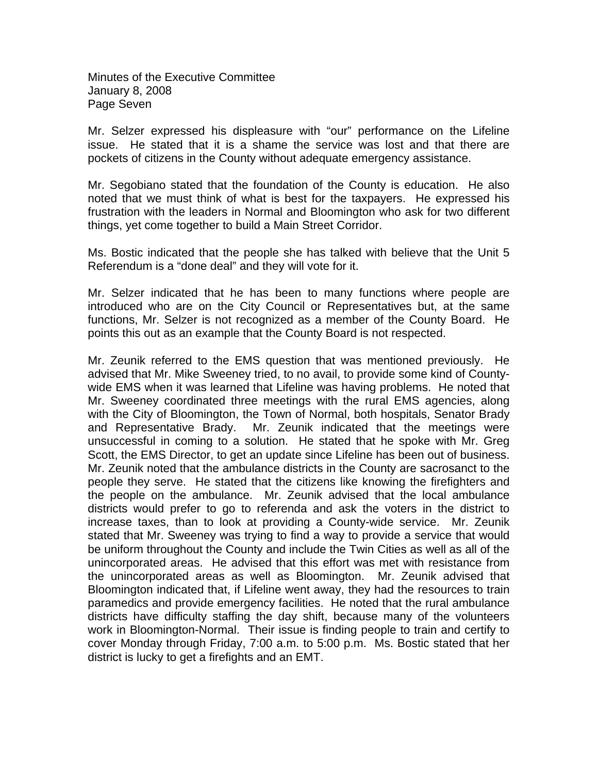Minutes of the Executive Committee January 8, 2008 Page Seven

Mr. Selzer expressed his displeasure with "our" performance on the Lifeline issue. He stated that it is a shame the service was lost and that there are pockets of citizens in the County without adequate emergency assistance.

Mr. Segobiano stated that the foundation of the County is education. He also noted that we must think of what is best for the taxpayers. He expressed his frustration with the leaders in Normal and Bloomington who ask for two different things, yet come together to build a Main Street Corridor.

Ms. Bostic indicated that the people she has talked with believe that the Unit 5 Referendum is a "done deal" and they will vote for it.

Mr. Selzer indicated that he has been to many functions where people are introduced who are on the City Council or Representatives but, at the same functions, Mr. Selzer is not recognized as a member of the County Board. He points this out as an example that the County Board is not respected.

Mr. Zeunik referred to the EMS question that was mentioned previously. He advised that Mr. Mike Sweeney tried, to no avail, to provide some kind of Countywide EMS when it was learned that Lifeline was having problems. He noted that Mr. Sweeney coordinated three meetings with the rural EMS agencies, along with the City of Bloomington, the Town of Normal, both hospitals, Senator Brady and Representative Brady. Mr. Zeunik indicated that the meetings were unsuccessful in coming to a solution. He stated that he spoke with Mr. Greg Scott, the EMS Director, to get an update since Lifeline has been out of business. Mr. Zeunik noted that the ambulance districts in the County are sacrosanct to the people they serve. He stated that the citizens like knowing the firefighters and the people on the ambulance. Mr. Zeunik advised that the local ambulance districts would prefer to go to referenda and ask the voters in the district to increase taxes, than to look at providing a County-wide service. Mr. Zeunik stated that Mr. Sweeney was trying to find a way to provide a service that would be uniform throughout the County and include the Twin Cities as well as all of the unincorporated areas. He advised that this effort was met with resistance from the unincorporated areas as well as Bloomington. Mr. Zeunik advised that Bloomington indicated that, if Lifeline went away, they had the resources to train paramedics and provide emergency facilities. He noted that the rural ambulance districts have difficulty staffing the day shift, because many of the volunteers work in Bloomington-Normal. Their issue is finding people to train and certify to cover Monday through Friday, 7:00 a.m. to 5:00 p.m. Ms. Bostic stated that her district is lucky to get a firefights and an EMT.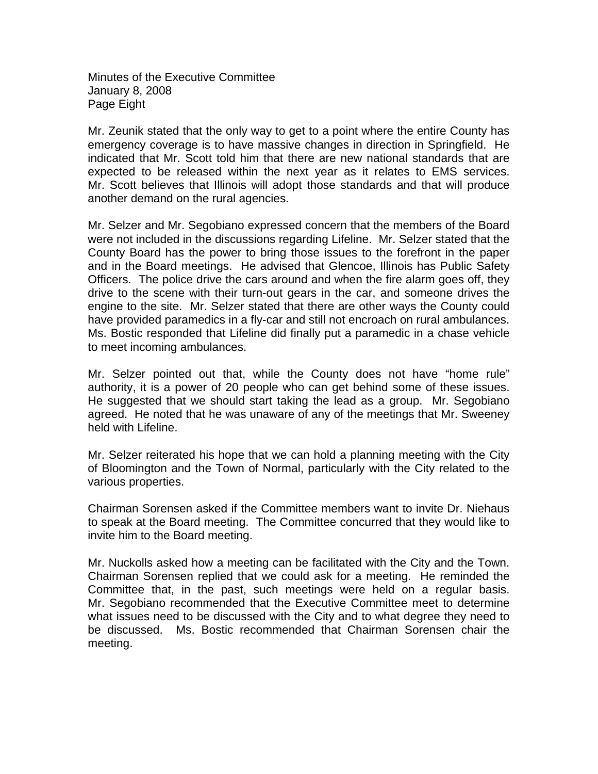Minutes of the Executive Committee January 8, 2008 Page Eight

Mr. Zeunik stated that the only way to get to a point where the entire County has emergency coverage is to have massive changes in direction in Springfield. He indicated that Mr. Scott told him that there are new national standards that are expected to be released within the next year as it relates to EMS services. Mr. Scott believes that Illinois will adopt those standards and that will produce another demand on the rural agencies.

Mr. Selzer and Mr. Segobiano expressed concern that the members of the Board were not included in the discussions regarding Lifeline. Mr. Selzer stated that the County Board has the power to bring those issues to the forefront in the paper and in the Board meetings. He advised that Glencoe, Illinois has Public Safety Officers. The police drive the cars around and when the fire alarm goes off, they drive to the scene with their turn-out gears in the car, and someone drives the engine to the site. Mr. Selzer stated that there are other ways the County could have provided paramedics in a fly-car and still not encroach on rural ambulances. Ms. Bostic responded that Lifeline did finally put a paramedic in a chase vehicle to meet incoming ambulances.

Mr. Selzer pointed out that, while the County does not have "home rule" authority, it is a power of 20 people who can get behind some of these issues. He suggested that we should start taking the lead as a group. Mr. Segobiano agreed. He noted that he was unaware of any of the meetings that Mr. Sweeney held with Lifeline.

Mr. Selzer reiterated his hope that we can hold a planning meeting with the City of Bloomington and the Town of Normal, particularly with the City related to the various properties.

Chairman Sorensen asked if the Committee members want to invite Dr. Niehaus to speak at the Board meeting. The Committee concurred that they would like to invite him to the Board meeting.

Mr. Nuckolls asked how a meeting can be facilitated with the City and the Town. Chairman Sorensen replied that we could ask for a meeting. He reminded the Committee that, in the past, such meetings were held on a regular basis. Mr. Segobiano recommended that the Executive Committee meet to determine what issues need to be discussed with the City and to what degree they need to be discussed. Ms. Bostic recommended that Chairman Sorensen chair the meeting.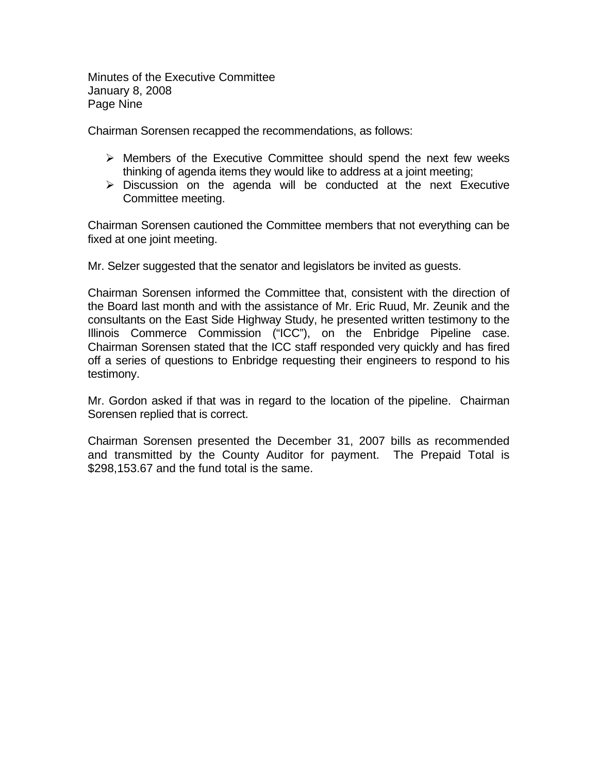Minutes of the Executive Committee January 8, 2008 Page Nine

Chairman Sorensen recapped the recommendations, as follows:

- $\triangleright$  Members of the Executive Committee should spend the next few weeks thinking of agenda items they would like to address at a joint meeting;
- $\triangleright$  Discussion on the agenda will be conducted at the next Executive Committee meeting.

Chairman Sorensen cautioned the Committee members that not everything can be fixed at one joint meeting.

Mr. Selzer suggested that the senator and legislators be invited as guests.

Chairman Sorensen informed the Committee that, consistent with the direction of the Board last month and with the assistance of Mr. Eric Ruud, Mr. Zeunik and the consultants on the East Side Highway Study, he presented written testimony to the Illinois Commerce Commission ("ICC"), on the Enbridge Pipeline case. Chairman Sorensen stated that the ICC staff responded very quickly and has fired off a series of questions to Enbridge requesting their engineers to respond to his testimony.

Mr. Gordon asked if that was in regard to the location of the pipeline. Chairman Sorensen replied that is correct.

Chairman Sorensen presented the December 31, 2007 bills as recommended and transmitted by the County Auditor for payment. The Prepaid Total is \$298,153.67 and the fund total is the same.